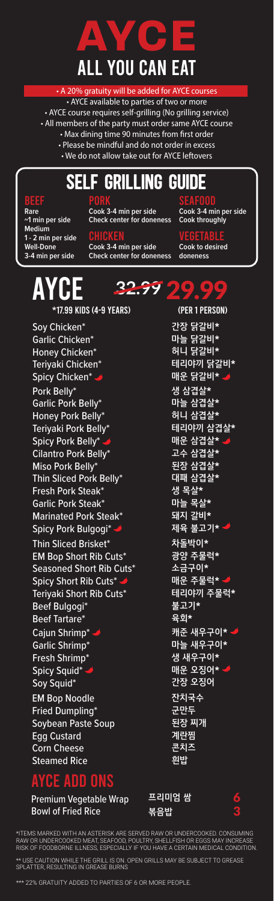

# All YOU CAN EAT

• A 20% gratuity will be added for AYCE courses • AYCE available to parties of two or more • AYCE course requires self-grilling (No grilling service) • All members of the party must order same AYCE course • Max dining time 90 minutes from first order • Please be mindful and do not order in excess • We do not allow take out for AYCE leftovers

## **Self Grilling Guide**

#### E)

**Rare ~1 min per side Medium 1 - 2 min per side Well-Done 3-4 min per side**

PORK **Cook 3-4 min per side Check center for doneness**

**CHICKEN Cook 3-4 min per side Check center for doneness** SEAFOOD **Cook 3-4 min per side Cook throughly**

VEGETABLE **Cook to desired doneness**

#### AYC (per 1 person) 29.99 **32.99**\*17.99 kids (4-9 years)

Cajun Shrimp\* Garlic Shrimp\* Fresh Shrimp\* Spicy Squid\* Soy Squid\* Pork Belly\* Garlic Pork Belly\* Honey Pork Belly\* Teriyaki Pork Belly\* Spicy Pork Belly\* Cilantro Pork Belly\* Miso Pork Belly\* Thin Sliced Pork Belly\* Fresh Pork Steak\* Garlic Pork Steak\* Marinated Pork Steak\* Spicy Pork Bulgogi\* Soy Chicken\* Garlic Chicken\* Honey Chicken\* Teriyaki Chicken\* Spicy Chicken\* . Thin Sliced Brisket\* EM Bop Short Rib Cuts\* Seasoned Short Rib Cuts\* Spicy Short Rib Cuts\* Teriyaki Short Rib Cuts\* Beef Bulgogi<sup>®</sup> **Beef Tartare**\* EM Bop Noodle Fried Dumpling\* Soybean Paste Soup Egg Custard Corn Cheese Steamed Rice

**간장 닭갈비\* 마늘 닭갈비\* 허니 닭갈비\* 테리야끼 닭갈비\* 매운 닭갈비\* 생 삼겹살\* 마늘 삼겹살\* 허니 삼겹살\* 테리야끼 삼겹살\* 매운 삼겹살\* 고수 삼겹살\* 된장 삼겹살\* 대패 삼겹살\* 생 목살\* 마늘 목살\* 돼지 갈비\* 제육 불고기\* 차돌박이\* 광양 주물럭\* 소금구이\* 매운 주물럭\* 테리야끼 주물럭\* 불고기\* 육회\* 캐준 새우구이\* 마늘 새우구이\* 생 새우구이\* 매운 오징어\* 간장 오징어 잔치국수 군만두 된장 찌개 계란찜 콘치즈 흰밥**

### **YCE ADD ONS**

SPLATTER, RESULTING IN GREASE BURNS

Premium Vegetable Wrap Bowl of Fried Rice

**프리미엄 쌈 볶음밥**

6 3

\*ITEMS MARKED WITH AN ASTERISK ARE SERVED RAW OR UNDERCOOKED. CONSUMING RAW OR UNDERCOOKED MEAT, SEAFOOD, POULTRY, SHELLFISH OR EGGS MAY INCREASE RISK OF FOODBORNE ILLNESS, ESPECIALLY IF YOU HAVE A CERTAIN MEDICAL CONDITION. \*\* USE CAUTION WHILE THE GRILL IS ON. OPEN GRILLS MAY BE SUBJECT TO GREASE

\*\*\* 22% GRATUITY ADDED TO PARTIES OF 6 OR MORE PEOPLE.